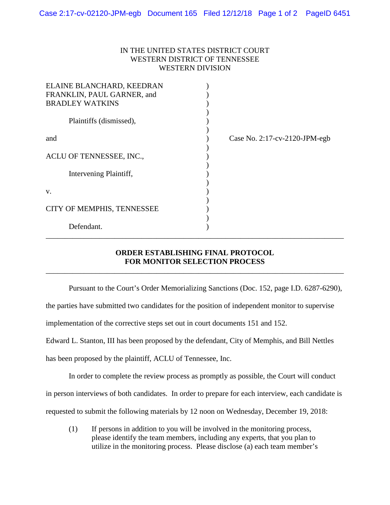## IN THE UNITED STATES DISTRICT COURT WESTERN DISTRICT OF TENNESSEE WESTERN DIVISION

| ELAINE BLANCHARD, KEEDRAN  |                               |
|----------------------------|-------------------------------|
| FRANKLIN, PAUL GARNER, and |                               |
| <b>BRADLEY WATKINS</b>     |                               |
| Plaintiffs (dismissed),    |                               |
| and                        | Case No. 2:17-cv-2120-JPM-egb |
|                            |                               |
| ACLU OF TENNESSEE, INC.,   |                               |
| Intervening Plaintiff,     |                               |
| V.                         |                               |
|                            |                               |
| CITY OF MEMPHIS, TENNESSEE |                               |
|                            |                               |
| Defendant.                 |                               |

## **ORDER ESTABLISHING FINAL PROTOCOL FOR MONITOR SELECTION PROCESS**

\_\_\_\_\_\_\_\_\_\_\_\_\_\_\_\_\_\_\_\_\_\_\_\_\_\_\_\_\_\_\_\_\_\_\_\_\_\_\_\_\_\_\_\_\_\_\_\_\_\_\_\_\_\_\_\_\_\_\_\_\_\_\_\_\_\_\_\_\_\_\_\_\_\_\_\_\_\_

\_\_\_\_\_\_\_\_\_\_\_\_\_\_\_\_\_\_\_\_\_\_\_\_\_\_\_\_\_\_\_\_\_\_\_\_\_\_\_\_\_\_\_\_\_\_\_\_\_\_\_\_\_\_\_\_\_\_\_\_\_\_\_\_\_\_\_\_\_\_\_\_\_\_\_\_\_\_

Pursuant to the Court's Order Memorializing Sanctions (Doc. 152, page I.D. 6287-6290),

the parties have submitted two candidates for the position of independent monitor to supervise

implementation of the corrective steps set out in court documents 151 and 152.

Edward L. Stanton, III has been proposed by the defendant, City of Memphis, and Bill Nettles

has been proposed by the plaintiff, ACLU of Tennessee, Inc.

In order to complete the review process as promptly as possible, the Court will conduct

in person interviews of both candidates. In order to prepare for each interview, each candidate is

requested to submit the following materials by 12 noon on Wednesday, December 19, 2018:

(1) If persons in addition to you will be involved in the monitoring process, please identify the team members, including any experts, that you plan to utilize in the monitoring process. Please disclose (a) each team member's